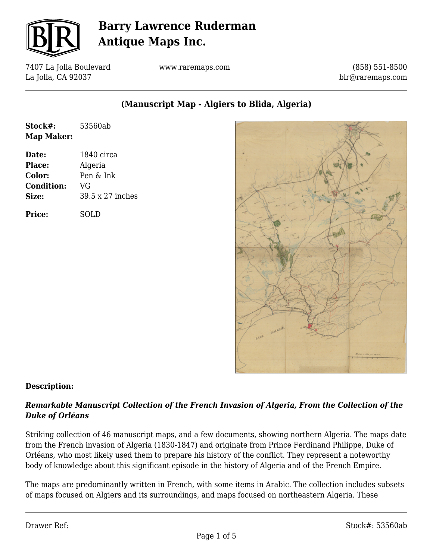

7407 La Jolla Boulevard La Jolla, CA 92037

www.raremaps.com

(858) 551-8500 blr@raremaps.com

**(Manuscript Map - Algiers to Blida, Algeria)**

| Stock#:    | 53560ab |
|------------|---------|
| Map Maker: |         |

**Date:** 1840 circa **Place:** Algeria **Color:** Pen & Ink **Condition:** VG **Size:** 39.5 x 27 inches

**Price:** SOLD



### **Description:**

### *Remarkable Manuscript Collection of the French Invasion of Algeria, From the Collection of the Duke of Orléans*

Striking collection of 46 manuscript maps, and a few documents, showing northern Algeria. The maps date from the French invasion of Algeria (1830-1847) and originate from Prince Ferdinand Philippe, Duke of Orléans, who most likely used them to prepare his history of the conflict. They represent a noteworthy body of knowledge about this significant episode in the history of Algeria and of the French Empire.

The maps are predominantly written in French, with some items in Arabic. The collection includes subsets of maps focused on Algiers and its surroundings, and maps focused on northeastern Algeria. These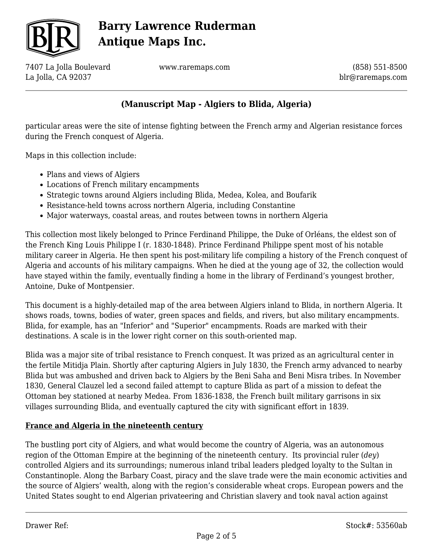

7407 La Jolla Boulevard La Jolla, CA 92037

www.raremaps.com

(858) 551-8500 blr@raremaps.com

## **(Manuscript Map - Algiers to Blida, Algeria)**

particular areas were the site of intense fighting between the French army and Algerian resistance forces during the French conquest of Algeria.

Maps in this collection include:

- Plans and views of Algiers
- Locations of French military encampments
- Strategic towns around Algiers including Blida, Medea, Kolea, and Boufarik
- Resistance-held towns across northern Algeria, including Constantine
- Major waterways, coastal areas, and routes between towns in northern Algeria

This collection most likely belonged to Prince Ferdinand Philippe, the Duke of Orléans, the eldest son of the French King Louis Philippe I (r. 1830-1848). Prince Ferdinand Philippe spent most of his notable military career in Algeria. He then spent his post-military life compiling a history of the French conquest of Algeria and accounts of his military campaigns. When he died at the young age of 32, the collection would have stayed within the family, eventually finding a home in the library of Ferdinand's youngest brother, Antoine, Duke of Montpensier.

This document is a highly-detailed map of the area between Algiers inland to Blida, in northern Algeria. It shows roads, towns, bodies of water, green spaces and fields, and rivers, but also military encampments. Blida, for example, has an "Inferior" and "Superior" encampments. Roads are marked with their destinations. A scale is in the lower right corner on this south-oriented map.

Blida was a major site of tribal resistance to French conquest. It was prized as an agricultural center in the fertile Mitidja Plain. Shortly after capturing Algiers in July 1830, the French army advanced to nearby Blida but was ambushed and driven back to Algiers by the Beni Saha and Beni Misra tribes. In November 1830, General Clauzel led a second failed attempt to capture Blida as part of a mission to defeat the Ottoman bey stationed at nearby Medea. From 1836-1838, the French built military garrisons in six villages surrounding Blida, and eventually captured the city with significant effort in 1839.

#### **France and Algeria in the nineteenth century**

The bustling port city of Algiers, and what would become the country of Algeria, was an autonomous region of the Ottoman Empire at the beginning of the nineteenth century. Its provincial ruler (*dey*) controlled Algiers and its surroundings; numerous inland tribal leaders pledged loyalty to the Sultan in Constantinople. Along the Barbary Coast, piracy and the slave trade were the main economic activities and the source of Algiers' wealth, along with the region's considerable wheat crops. European powers and the United States sought to end Algerian privateering and Christian slavery and took naval action against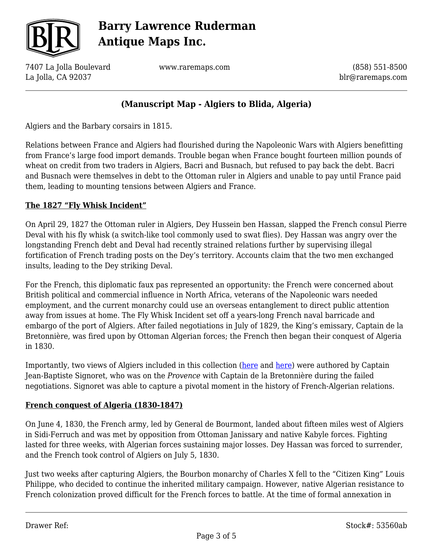

7407 La Jolla Boulevard La Jolla, CA 92037

www.raremaps.com

(858) 551-8500 blr@raremaps.com

## **(Manuscript Map - Algiers to Blida, Algeria)**

Algiers and the Barbary corsairs in 1815.

Relations between France and Algiers had flourished during the Napoleonic Wars with Algiers benefitting from France's large food import demands. Trouble began when France bought fourteen million pounds of wheat on credit from two traders in Algiers, Bacri and Busnach, but refused to pay back the debt. Bacri and Busnach were themselves in debt to the Ottoman ruler in Algiers and unable to pay until France paid them, leading to mounting tensions between Algiers and France.

### **The 1827 "Fly Whisk Incident"**

On April 29, 1827 the Ottoman ruler in Algiers, Dey Hussein ben Hassan, slapped the French consul Pierre Deval with his fly whisk (a switch-like tool commonly used to swat flies). Dey Hassan was angry over the longstanding French debt and Deval had recently strained relations further by supervising illegal fortification of French trading posts on the Dey's territory. Accounts claim that the two men exchanged insults, leading to the Dey striking Deval.

For the French, this diplomatic faux pas represented an opportunity: the French were concerned about British political and commercial influence in North Africa, veterans of the Napoleonic wars needed employment, and the current monarchy could use an overseas entanglement to direct public attention away from issues at home. The Fly Whisk Incident set off a years-long French naval barricade and embargo of the port of Algiers. After failed negotiations in July of 1829, the King's emissary, Captain de la Bretonnière, was fired upon by Ottoman Algerian forces; the French then began their conquest of Algeria in 1830.

Importantly, two views of Algiers included in this collection [\(here](https://raremaps.com/gallery/detail/53490ab) and [here\)](https://raremaps.com/gallery/detail/53489ab) were authored by Captain Jean-Baptiste Signoret, who was on the *Provence* with Captain de la Bretonnière during the failed negotiations. Signoret was able to capture a pivotal moment in the history of French-Algerian relations.

#### **French conquest of Algeria (1830-1847)**

On June 4, 1830, the French army, led by General de Bourmont, landed about fifteen miles west of Algiers in Sidi-Ferruch and was met by opposition from Ottoman Janissary and native Kabyle forces. Fighting lasted for three weeks, with Algerian forces sustaining major losses. Dey Hassan was forced to surrender, and the French took control of Algiers on July 5, 1830.

Just two weeks after capturing Algiers, the Bourbon monarchy of Charles X fell to the "Citizen King" Louis Philippe, who decided to continue the inherited military campaign. However, native Algerian resistance to French colonization proved difficult for the French forces to battle. At the time of formal annexation in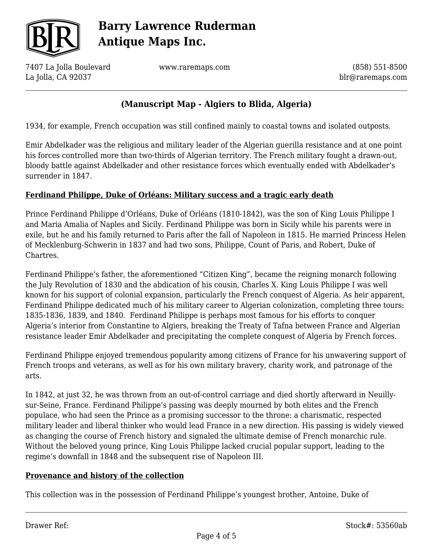

7407 La Jolla Boulevard La Jolla, CA 92037

www.raremaps.com

(858) 551-8500 blr@raremaps.com

## **(Manuscript Map - Algiers to Blida, Algeria)**

1934, for example, French occupation was still confined mainly to coastal towns and isolated outposts.

Emir Abdelkader was the religious and military leader of the Algerian guerilla resistance and at one point his forces controlled more than two-thirds of Algerian territory. The French military fought a drawn-out, bloody battle against Abdelkader and other resistance forces which eventually ended with Abdelkader's surrender in 1847.

#### **Ferdinand Philippe, Duke of Orléans: Military success and a tragic early death**

Prince Ferdinand Philippe d'Orléans, Duke of Orléans (1810-1842), was the son of King Louis Philippe I and Maria Amalia of Naples and Sicily. Ferdinand Philippe was born in Sicily while his parents were in exile, but he and his family returned to Paris after the fall of Napoleon in 1815. He married Princess Helen of Mecklenburg-Schwerin in 1837 and had two sons, Philippe, Count of Paris, and Robert, Duke of Chartres.

Ferdinand Philippe's father, the aforementioned "Citizen King", became the reigning monarch following the July Revolution of 1830 and the abdication of his cousin, Charles X. King Louis Philippe I was well known for his support of colonial expansion, particularly the French conquest of Algeria. As heir apparent, Ferdinand Philippe dedicated much of his military career to Algerian colonization, completing three tours: 1835-1836, 1839, and 1840. Ferdinand Philippe is perhaps most famous for his efforts to conquer Algeria's interior from Constantine to Algiers, breaking the Treaty of Tafna between France and Algerian resistance leader Emir Abdelkader and precipitating the complete conquest of Algeria by French forces.

Ferdinand Philippe enjoyed tremendous popularity among citizens of France for his unwavering support of French troops and veterans, as well as for his own military bravery, charity work, and patronage of the arts.

In 1842, at just 32, he was thrown from an out-of-control carriage and died shortly afterward in Neuillysur-Seine, France. Ferdinand Philippe's passing was deeply mourned by both elites and the French populace, who had seen the Prince as a promising successor to the throne: a charismatic, respected military leader and liberal thinker who would lead France in a new direction. His passing is widely viewed as changing the course of French history and signaled the ultimate demise of French monarchic rule. Without the beloved young prince, King Louis Philippe lacked crucial popular support, leading to the regime's downfall in 1848 and the subsequent rise of Napoleon III.

#### **Provenance and history of the collection**

This collection was in the possession of Ferdinand Philippe's youngest brother, Antoine, Duke of